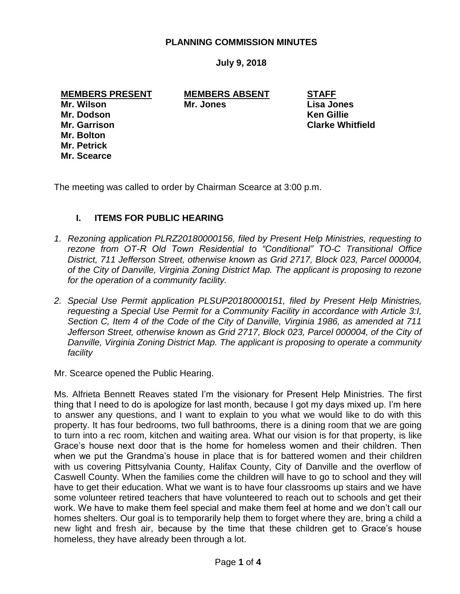## **PLANNING COMMISSION MINUTES**

**July 9, 2018**

**MEMBERS PRESENT MEMBERS ABSENT STAFF Mr. Wilson Mr. Jones Lisa Jones Mr. Dodson Ken Gillie Mr. Garrison Clarke Whitfield Mr. Bolton**

**Mr. Petrick Mr. Scearce**

The meeting was called to order by Chairman Scearce at 3:00 p.m.

## **I. ITEMS FOR PUBLIC HEARING**

- *1. Rezoning application PLRZ20180000156, filed by Present Help Ministries, requesting to rezone from OT-R Old Town Residential to "Conditional" TO-C Transitional Office District, 711 Jefferson Street, otherwise known as Grid 2717, Block 023, Parcel 000004, of the City of Danville, Virginia Zoning District Map. The applicant is proposing to rezone for the operation of a community facility.*
- *2. Special Use Permit application PLSUP20180000151, filed by Present Help Ministries, requesting a Special Use Permit for a Community Facility in accordance with Article 3:I, Section C, Item 4 of the Code of the City of Danville, Virginia 1986, as amended at 711*  Jefferson Street, otherwise known as Grid 2717, Block 023, Parcel 000004, of the City of *Danville, Virginia Zoning District Map. The applicant is proposing to operate a community facility*

Mr. Scearce opened the Public Hearing.

Ms. Alfrieta Bennett Reaves stated I'm the visionary for Present Help Ministries. The first thing that I need to do is apologize for last month, because I got my days mixed up. I'm here to answer any questions, and I want to explain to you what we would like to do with this property. It has four bedrooms, two full bathrooms, there is a dining room that we are going to turn into a rec room, kitchen and waiting area. What our vision is for that property, is like Grace's house next door that is the home for homeless women and their children. Then when we put the Grandma's house in place that is for battered women and their children with us covering Pittsylvania County, Halifax County, City of Danville and the overflow of Caswell County. When the families come the children will have to go to school and they will have to get their education. What we want is to have four classrooms up stairs and we have some volunteer retired teachers that have volunteered to reach out to schools and get their work. We have to make them feel special and make them feel at home and we don't call our homes shelters. Our goal is to temporarily help them to forget where they are, bring a child a new light and fresh air, because by the time that these children get to Grace's house homeless, they have already been through a lot.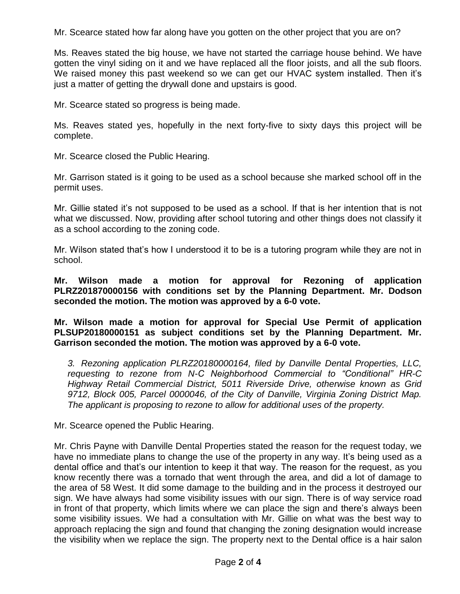Mr. Scearce stated how far along have you gotten on the other project that you are on?

Ms. Reaves stated the big house, we have not started the carriage house behind. We have gotten the vinyl siding on it and we have replaced all the floor joists, and all the sub floors. We raised money this past weekend so we can get our HVAC system installed. Then it's just a matter of getting the drywall done and upstairs is good.

Mr. Scearce stated so progress is being made.

Ms. Reaves stated yes, hopefully in the next forty-five to sixty days this project will be complete.

Mr. Scearce closed the Public Hearing.

Mr. Garrison stated is it going to be used as a school because she marked school off in the permit uses.

Mr. Gillie stated it's not supposed to be used as a school. If that is her intention that is not what we discussed. Now, providing after school tutoring and other things does not classify it as a school according to the zoning code.

Mr. Wilson stated that's how I understood it to be is a tutoring program while they are not in school.

**Mr. Wilson made a motion for approval for Rezoning of application PLRZ201870000156 with conditions set by the Planning Department. Mr. Dodson seconded the motion. The motion was approved by a 6-0 vote.**

**Mr. Wilson made a motion for approval for Special Use Permit of application PLSUP20180000151 as subject conditions set by the Planning Department. Mr. Garrison seconded the motion. The motion was approved by a 6-0 vote.**

*3. Rezoning application PLRZ20180000164, filed by Danville Dental Properties, LLC, requesting to rezone from N-C Neighborhood Commercial to "Conditional" HR-C Highway Retail Commercial District, 5011 Riverside Drive, otherwise known as Grid 9712, Block 005, Parcel 0000046, of the City of Danville, Virginia Zoning District Map. The applicant is proposing to rezone to allow for additional uses of the property.*

Mr. Scearce opened the Public Hearing.

Mr. Chris Payne with Danville Dental Properties stated the reason for the request today, we have no immediate plans to change the use of the property in any way. It's being used as a dental office and that's our intention to keep it that way. The reason for the request, as you know recently there was a tornado that went through the area, and did a lot of damage to the area of 58 West. It did some damage to the building and in the process it destroyed our sign. We have always had some visibility issues with our sign. There is of way service road in front of that property, which limits where we can place the sign and there's always been some visibility issues. We had a consultation with Mr. Gillie on what was the best way to approach replacing the sign and found that changing the zoning designation would increase the visibility when we replace the sign. The property next to the Dental office is a hair salon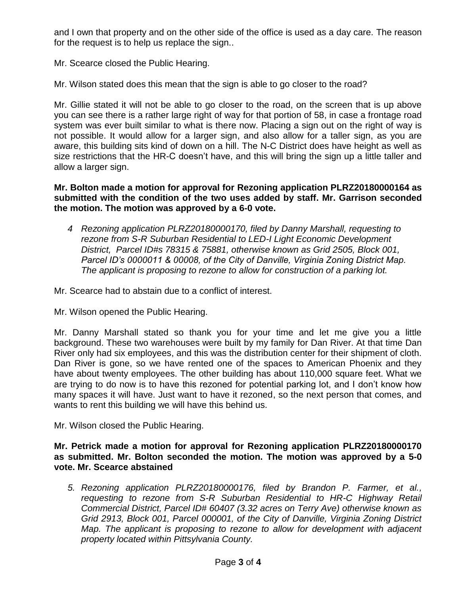and I own that property and on the other side of the office is used as a day care. The reason for the request is to help us replace the sign..

Mr. Scearce closed the Public Hearing.

Mr. Wilson stated does this mean that the sign is able to go closer to the road?

Mr. Gillie stated it will not be able to go closer to the road, on the screen that is up above you can see there is a rather large right of way for that portion of 58, in case a frontage road system was ever built similar to what is there now. Placing a sign out on the right of way is not possible. It would allow for a larger sign, and also allow for a taller sign, as you are aware, this building sits kind of down on a hill. The N-C District does have height as well as size restrictions that the HR-C doesn't have, and this will bring the sign up a little taller and allow a larger sign.

**Mr. Bolton made a motion for approval for Rezoning application PLRZ20180000164 as submitted with the condition of the two uses added by staff. Mr. Garrison seconded the motion. The motion was approved by a 6-0 vote.**

*4 Rezoning application PLRZ20180000170, filed by Danny Marshall, requesting to rezone from S-R Suburban Residential to LED-I Light Economic Development District, Parcel ID#s 78315 & 75881, otherwise known as Grid 2505, Block 001, Parcel ID's 0000011 & 00008, of the City of Danville, Virginia Zoning District Map. The applicant is proposing to rezone to allow for construction of a parking lot.*

Mr. Scearce had to abstain due to a conflict of interest.

Mr. Wilson opened the Public Hearing.

Mr. Danny Marshall stated so thank you for your time and let me give you a little background. These two warehouses were built by my family for Dan River. At that time Dan River only had six employees, and this was the distribution center for their shipment of cloth. Dan River is gone, so we have rented one of the spaces to American Phoenix and they have about twenty employees. The other building has about 110,000 square feet. What we are trying to do now is to have this rezoned for potential parking lot, and I don't know how many spaces it will have. Just want to have it rezoned, so the next person that comes, and wants to rent this building we will have this behind us.

Mr. Wilson closed the Public Hearing.

**Mr. Petrick made a motion for approval for Rezoning application PLRZ20180000170 as submitted. Mr. Bolton seconded the motion. The motion was approved by a 5-0 vote. Mr. Scearce abstained**

*5. Rezoning application PLRZ20180000176, filed by Brandon P. Farmer, et al., requesting to rezone from S-R Suburban Residential to HR-C Highway Retail Commercial District, Parcel ID# 60407 (3.32 acres on Terry Ave) otherwise known as Grid 2913, Block 001, Parcel 000001, of the City of Danville, Virginia Zoning District Map. The applicant is proposing to rezone to allow for development with adjacent property located within Pittsylvania County.*